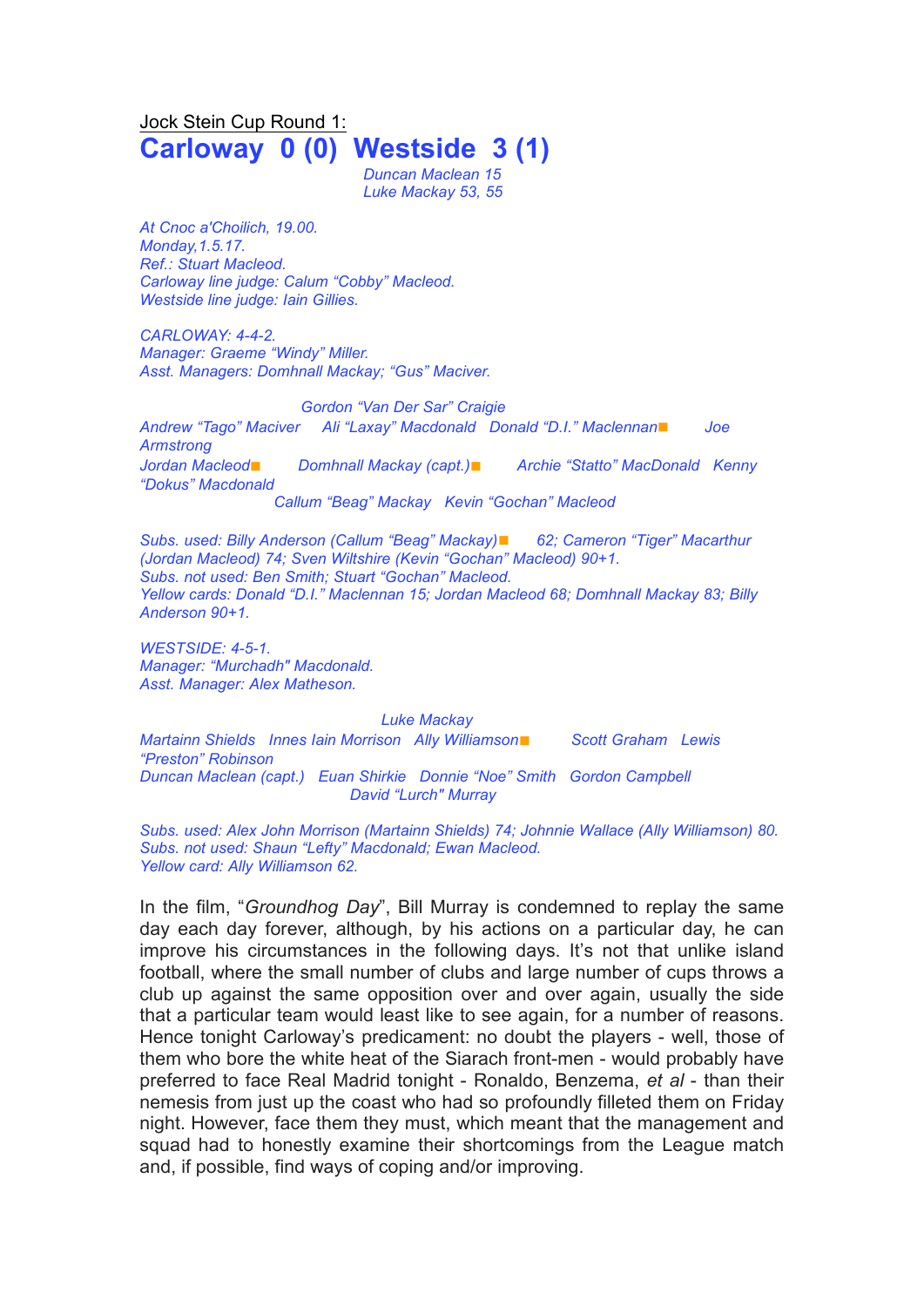# Jock Stein Cup Round 1: **Carloway 0 (0) Westside 3 (1)**

*Duncan Maclean 15 Luke Mackay 53, 55*

*At Cnoc a'Choilich, 19.00. Monday,1.5.17. Ref.: Stuart Macleod. Carloway line judge: Calum "Cobby" Macleod. Westside line judge: Iain Gillies.*

*CARLOWAY: 4-4-2. Manager: Graeme "Windy" Miller. Asst. Managers: Domhnall Mackay; "Gus" Maciver.*

#### *Gordon "Van Der Sar" Craigie*

*Andrew "Tago" Maciver Ali "Laxay" Macdonald Donald "D.I." Maclennan*◼ *Joe Armstrong Jordan Macleod*◼ *Domhnall Mackay (capt.)*◼ *Archie "Statto" MacDonald Kenny "Dokus" Macdonald Callum "Beag" Mackay Kevin "Gochan" Macleod*

*Subs. used: Billy Anderson (Callum "Beag" Mackay)*◼ *62; Cameron "Tiger" Macarthur (Jordan Macleod) 74; Sven Wiltshire (Kevin "Gochan" Macleod) 90+1. Subs. not used: Ben Smith; Stuart "Gochan" Macleod. Yellow cards: Donald "D.I." Maclennan 15; Jordan Macleod 68; Domhnall Mackay 83; Billy Anderson 90+1.*

*WESTSIDE: 4-5-1. Manager: "Murchadh" Macdonald. Asst. Manager: Alex Matheson.*

### *Luke Mackay*

*Martainn Shields Innes Iain Morrison Ally Williamson*◼ *Scott Graham Lewis "Preston" Robinson Duncan Maclean (capt.) Euan Shirkie Donnie "Noe" Smith Gordon Campbell David "Lurch" Murray*

*Subs. used: Alex John Morrison (Martainn Shields) 74; Johnnie Wallace (Ally Williamson) 80. Subs. not used: Shaun "Lefty" Macdonald; Ewan Macleod. Yellow card: Ally Williamson 62.*

In the film, "*Groundhog Day*", Bill Murray is condemned to replay the same day each day forever, although, by his actions on a particular day, he can improve his circumstances in the following days. It's not that unlike island football, where the small number of clubs and large number of cups throws a club up against the same opposition over and over again, usually the side that a particular team would least like to see again, for a number of reasons. Hence tonight Carloway's predicament: no doubt the players - well, those of them who bore the white heat of the Siarach front-men - would probably have preferred to face Real Madrid tonight - Ronaldo, Benzema, *et al* - than their nemesis from just up the coast who had so profoundly filleted them on Friday night. However, face them they must, which meant that the management and squad had to honestly examine their shortcomings from the League match and, if possible, find ways of coping and/or improving.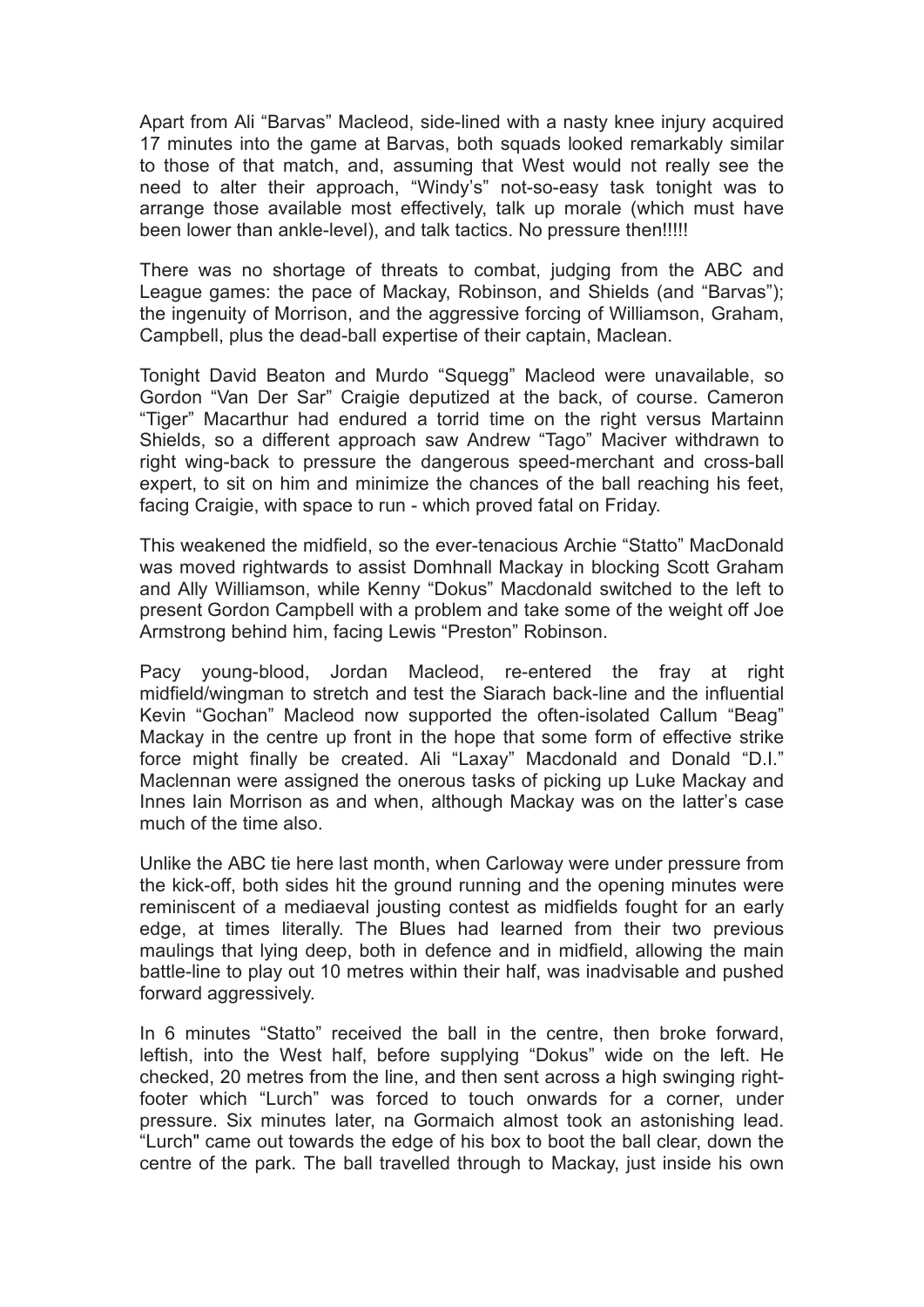Apart from Ali "Barvas" Macleod, side-lined with a nasty knee injury acquired 17 minutes into the game at Barvas, both squads looked remarkably similar to those of that match, and, assuming that West would not really see the need to alter their approach, "Windy's" not-so-easy task tonight was to arrange those available most effectively, talk up morale (which must have been lower than ankle-level), and talk tactics. No pressure then!!!!!

There was no shortage of threats to combat, judging from the ABC and League games: the pace of Mackay, Robinson, and Shields (and "Barvas"); the ingenuity of Morrison, and the aggressive forcing of Williamson, Graham, Campbell, plus the dead-ball expertise of their captain, Maclean.

Tonight David Beaton and Murdo "Squegg" Macleod were unavailable, so Gordon "Van Der Sar" Craigie deputized at the back, of course. Cameron "Tiger" Macarthur had endured a torrid time on the right versus Martainn Shields, so a different approach saw Andrew "Tago" Maciver withdrawn to right wing-back to pressure the dangerous speed-merchant and cross-ball expert, to sit on him and minimize the chances of the ball reaching his feet, facing Craigie, with space to run - which proved fatal on Friday.

This weakened the midfield, so the ever-tenacious Archie "Statto" MacDonald was moved rightwards to assist Domhnall Mackay in blocking Scott Graham and Ally Williamson, while Kenny "Dokus" Macdonald switched to the left to present Gordon Campbell with a problem and take some of the weight off Joe Armstrong behind him, facing Lewis "Preston" Robinson.

Pacy young-blood, Jordan Macleod, re-entered the fray at right midfield/wingman to stretch and test the Siarach back-line and the influential Kevin "Gochan" Macleod now supported the often-isolated Callum "Beag" Mackay in the centre up front in the hope that some form of effective strike force might finally be created. Ali "Laxay" Macdonald and Donald "D.I." Maclennan were assigned the onerous tasks of picking up Luke Mackay and Innes Iain Morrison as and when, although Mackay was on the latter's case much of the time also.

Unlike the ABC tie here last month, when Carloway were under pressure from the kick-off, both sides hit the ground running and the opening minutes were reminiscent of a mediaeval jousting contest as midfields fought for an early edge, at times literally. The Blues had learned from their two previous maulings that lying deep, both in defence and in midfield, allowing the main battle-line to play out 10 metres within their half, was inadvisable and pushed forward aggressively.

In 6 minutes "Statto" received the ball in the centre, then broke forward, leftish, into the West half, before supplying "Dokus" wide on the left. He checked, 20 metres from the line, and then sent across a high swinging rightfooter which "Lurch" was forced to touch onwards for a corner, under pressure. Six minutes later, na Gormaich almost took an astonishing lead. "Lurch" came out towards the edge of his box to boot the ball clear, down the centre of the park. The ball travelled through to Mackay, just inside his own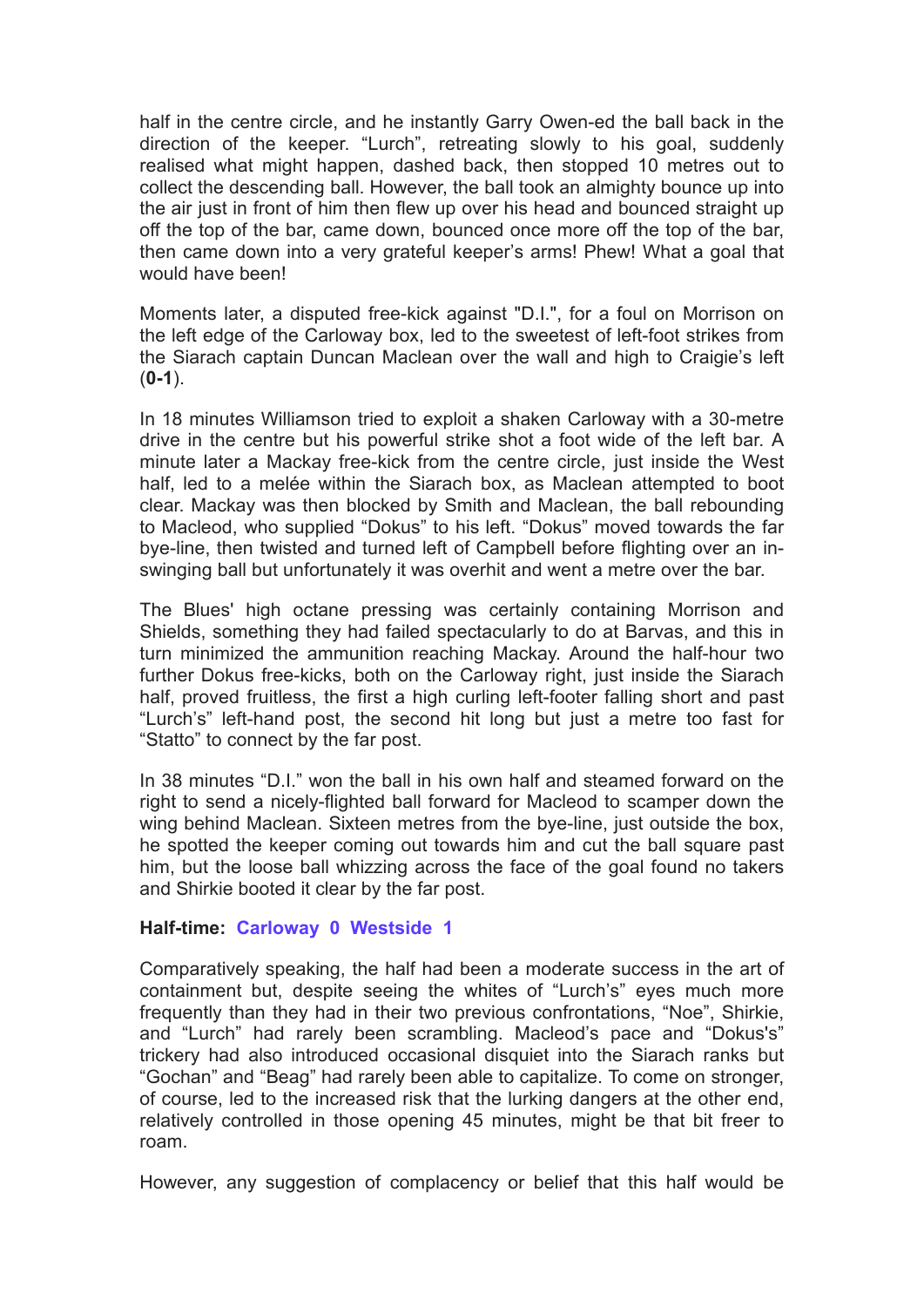half in the centre circle, and he instantly Garry Owen-ed the ball back in the direction of the keeper. "Lurch", retreating slowly to his goal, suddenly realised what might happen, dashed back, then stopped 10 metres out to collect the descending ball. However, the ball took an almighty bounce up into the air just in front of him then flew up over his head and bounced straight up off the top of the bar, came down, bounced once more off the top of the bar, then came down into a very grateful keeper's arms! Phew! What a goal that would have been!

Moments later, a disputed free-kick against "D.I.", for a foul on Morrison on the left edge of the Carloway box, led to the sweetest of left-foot strikes from the Siarach captain Duncan Maclean over the wall and high to Craigie's left (**0-1**).

In 18 minutes Williamson tried to exploit a shaken Carloway with a 30-metre drive in the centre but his powerful strike shot a foot wide of the left bar. A minute later a Mackay free-kick from the centre circle, just inside the West half, led to a melée within the Siarach box, as Maclean attempted to boot clear. Mackay was then blocked by Smith and Maclean, the ball rebounding to Macleod, who supplied "Dokus" to his left. "Dokus" moved towards the far bye-line, then twisted and turned left of Campbell before flighting over an inswinging ball but unfortunately it was overhit and went a metre over the bar.

The Blues' high octane pressing was certainly containing Morrison and Shields, something they had failed spectacularly to do at Barvas, and this in turn minimized the ammunition reaching Mackay. Around the half-hour two further Dokus free-kicks, both on the Carloway right, just inside the Siarach half, proved fruitless, the first a high curling left-footer falling short and past "Lurch's" left-hand post, the second hit long but just a metre too fast for "Statto" to connect by the far post.

In 38 minutes "D.I." won the ball in his own half and steamed forward on the right to send a nicely-flighted ball forward for Macleod to scamper down the wing behind Maclean. Sixteen metres from the bye-line, just outside the box, he spotted the keeper coming out towards him and cut the ball square past him, but the loose ball whizzing across the face of the goal found no takers and Shirkie booted it clear by the far post.

### **Half-time: Carloway 0 Westside 1**

Comparatively speaking, the half had been a moderate success in the art of containment but, despite seeing the whites of "Lurch's" eyes much more frequently than they had in their two previous confrontations, "Noe", Shirkie, and "Lurch" had rarely been scrambling. Macleod's pace and "Dokus's" trickery had also introduced occasional disquiet into the Siarach ranks but "Gochan" and "Beag" had rarely been able to capitalize. To come on stronger, of course, led to the increased risk that the lurking dangers at the other end, relatively controlled in those opening 45 minutes, might be that bit freer to roam.

However, any suggestion of complacency or belief that this half would be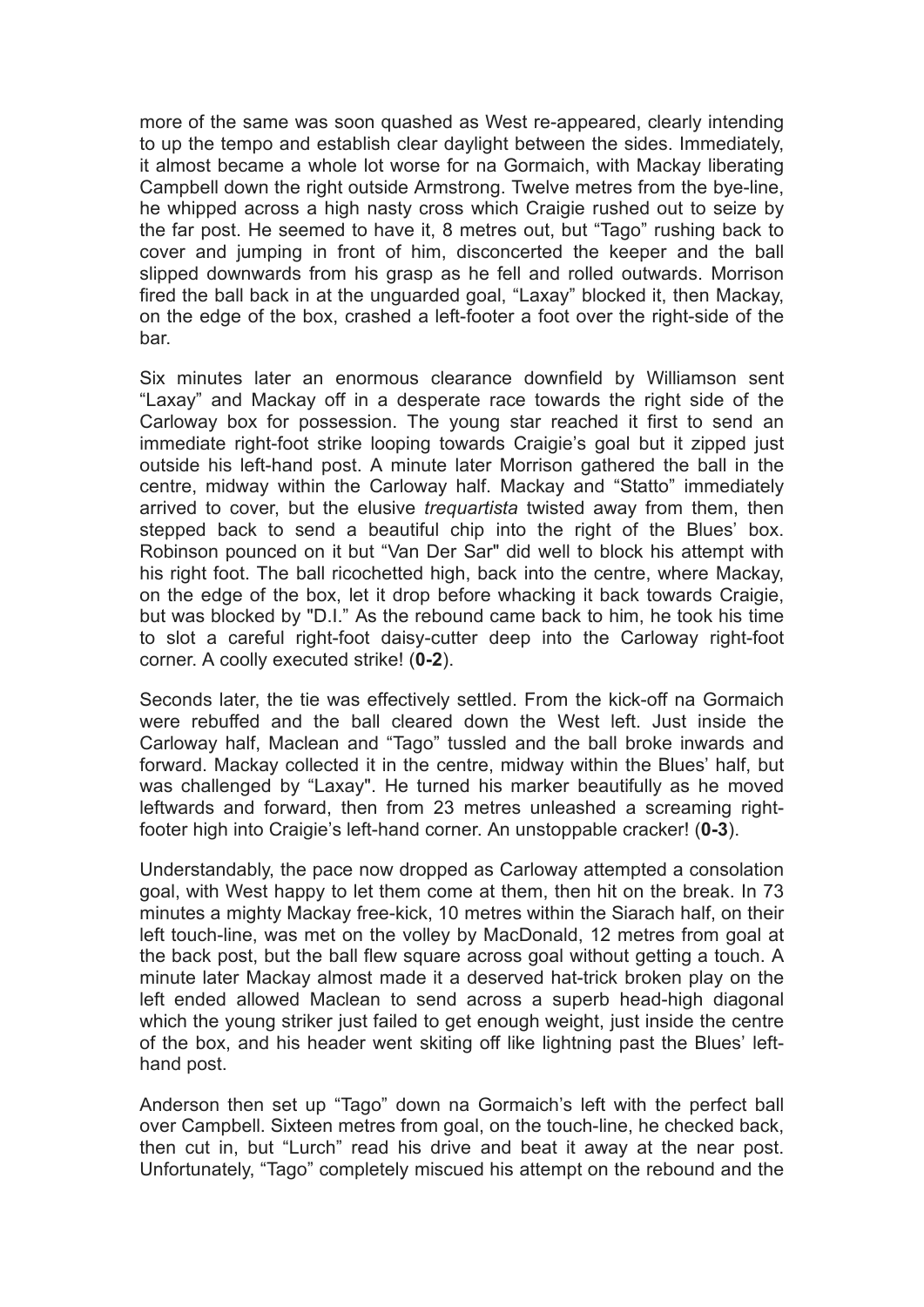more of the same was soon quashed as West re-appeared, clearly intending to up the tempo and establish clear daylight between the sides. Immediately, it almost became a whole lot worse for na Gormaich, with Mackay liberating Campbell down the right outside Armstrong. Twelve metres from the bye-line, he whipped across a high nasty cross which Craigie rushed out to seize by the far post. He seemed to have it, 8 metres out, but "Tago" rushing back to cover and jumping in front of him, disconcerted the keeper and the ball slipped downwards from his grasp as he fell and rolled outwards. Morrison fired the ball back in at the unguarded goal, "Laxay" blocked it, then Mackay, on the edge of the box, crashed a left-footer a foot over the right-side of the bar.

Six minutes later an enormous clearance downfield by Williamson sent "Laxay" and Mackay off in a desperate race towards the right side of the Carloway box for possession. The young star reached it first to send an immediate right-foot strike looping towards Craigie's goal but it zipped just outside his left-hand post. A minute later Morrison gathered the ball in the centre, midway within the Carloway half. Mackay and "Statto" immediately arrived to cover, but the elusive *trequartista* twisted away from them, then stepped back to send a beautiful chip into the right of the Blues' box. Robinson pounced on it but "Van Der Sar" did well to block his attempt with his right foot. The ball ricochetted high, back into the centre, where Mackay, on the edge of the box, let it drop before whacking it back towards Craigie, but was blocked by "D.I." As the rebound came back to him, he took his time to slot a careful right-foot daisy-cutter deep into the Carloway right-foot corner. A coolly executed strike! (**0-2**).

Seconds later, the tie was effectively settled. From the kick-off na Gormaich were rebuffed and the ball cleared down the West left. Just inside the Carloway half, Maclean and "Tago" tussled and the ball broke inwards and forward. Mackay collected it in the centre, midway within the Blues' half, but was challenged by "Laxay". He turned his marker beautifully as he moved leftwards and forward, then from 23 metres unleashed a screaming rightfooter high into Craigie's left-hand corner. An unstoppable cracker! (**0-3**).

Understandably, the pace now dropped as Carloway attempted a consolation goal, with West happy to let them come at them, then hit on the break. In 73 minutes a mighty Mackay free-kick, 10 metres within the Siarach half, on their left touch-line, was met on the volley by MacDonald, 12 metres from goal at the back post, but the ball flew square across goal without getting a touch. A minute later Mackay almost made it a deserved hat-trick broken play on the left ended allowed Maclean to send across a superb head-high diagonal which the young striker just failed to get enough weight, just inside the centre of the box, and his header went skiting off like lightning past the Blues' lefthand post.

Anderson then set up "Tago" down na Gormaich's left with the perfect ball over Campbell. Sixteen metres from goal, on the touch-line, he checked back, then cut in, but "Lurch" read his drive and beat it away at the near post. Unfortunately, "Tago" completely miscued his attempt on the rebound and the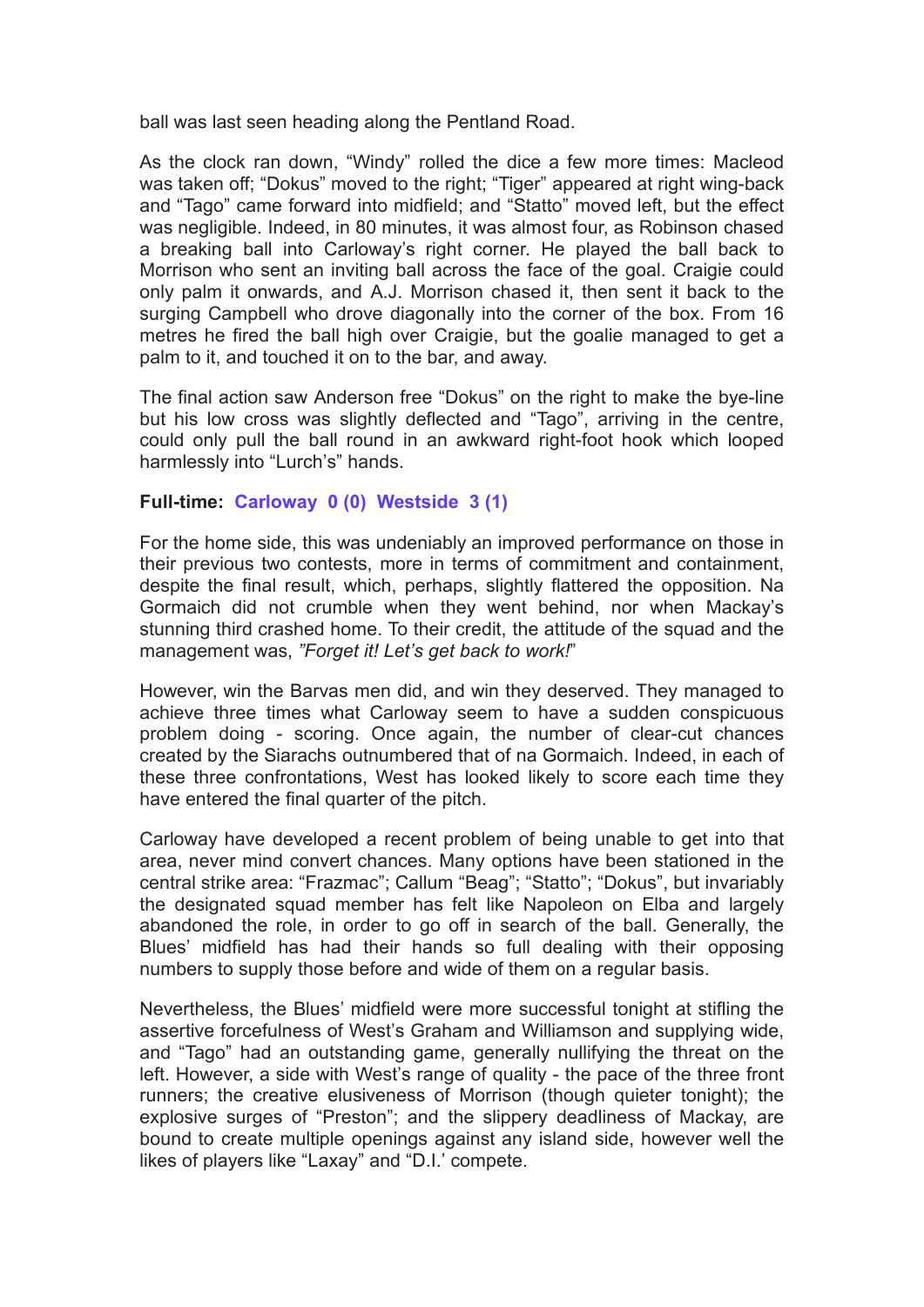ball was last seen heading along the Pentland Road.

As the clock ran down, "Windy" rolled the dice a few more times: Macleod was taken off; "Dokus" moved to the right; "Tiger" appeared at right wing-back and "Tago" came forward into midfield; and "Statto" moved left, but the effect was negligible. Indeed, in 80 minutes, it was almost four, as Robinson chased a breaking ball into Carloway's right corner. He played the ball back to Morrison who sent an inviting ball across the face of the goal. Craigie could only palm it onwards, and A.J. Morrison chased it, then sent it back to the surging Campbell who drove diagonally into the corner of the box. From 16 metres he fired the ball high over Craigie, but the goalie managed to get a palm to it, and touched it on to the bar, and away.

The final action saw Anderson free "Dokus" on the right to make the bye-line but his low cross was slightly deflected and "Tago", arriving in the centre, could only pull the ball round in an awkward right-foot hook which looped harmlessly into "Lurch's" hands.

## **Full-time: Carloway 0 (0) Westside 3 (1)**

For the home side, this was undeniably an improved performance on those in their previous two contests, more in terms of commitment and containment, despite the final result, which, perhaps, slightly flattered the opposition. Na Gormaich did not crumble when they went behind, nor when Mackay's stunning third crashed home. To their credit, the attitude of the squad and the management was, *"Forget it! Let's get back to work!*"

However, win the Barvas men did, and win they deserved. They managed to achieve three times what Carloway seem to have a sudden conspicuous problem doing - scoring. Once again, the number of clear-cut chances created by the Siarachs outnumbered that of na Gormaich. Indeed, in each of these three confrontations, West has looked likely to score each time they have entered the final quarter of the pitch.

Carloway have developed a recent problem of being unable to get into that area, never mind convert chances. Many options have been stationed in the central strike area: "Frazmac"; Callum "Beag"; "Statto"; "Dokus", but invariably the designated squad member has felt like Napoleon on Elba and largely abandoned the role, in order to go off in search of the ball. Generally, the Blues' midfield has had their hands so full dealing with their opposing numbers to supply those before and wide of them on a regular basis.

Nevertheless, the Blues' midfield were more successful tonight at stifling the assertive forcefulness of West's Graham and Williamson and supplying wide, and "Tago" had an outstanding game, generally nullifying the threat on the left. However, a side with West's range of quality - the pace of the three front runners; the creative elusiveness of Morrison (though quieter tonight); the explosive surges of "Preston"; and the slippery deadliness of Mackay, are bound to create multiple openings against any island side, however well the likes of players like "Laxay" and "D.I.' compete.